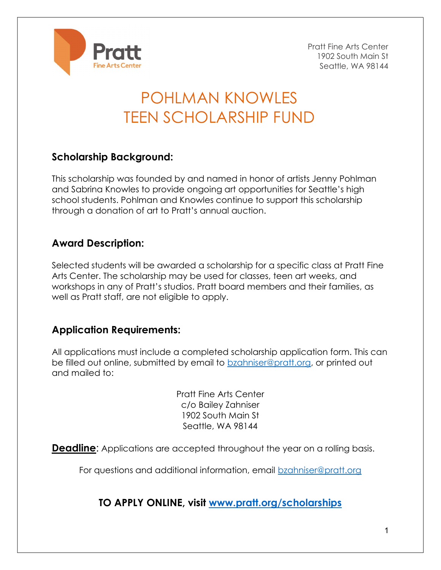

Pratt Fine Arts Center 1902 South Main St Seattle, WA 98144

# POHLMAN KNOWLES TEEN SCHOLARSHIP FUND

### Scholarship Background:

This scholarship was founded by and named in honor of artists Jenny Pohlman and Sabrina Knowles to provide ongoing art opportunities for Seattle's high school students. Pohlman and Knowles continue to support this scholarship through a donation of art to Pratt's annual auction.

#### Award Description:

Selected students will be awarded a scholarship for a specific class at Pratt Fine Arts Center. The scholarship may be used for classes, teen art weeks, and workshops in any of Pratt's studios. Pratt board members and their families, as well as Pratt staff, are not eligible to apply.

#### Application Requirements:

All applications must include a completed scholarship application form. This can be filled out online, submitted by email to bzahniser@pratt.org, or printed out and mailed to:

> Pratt Fine Arts Center c/o Bailey Zahniser 1902 South Main St Seattle, WA 98144

**Deadline:** Applications are accepted throughout the year on a rolling basis.

For questions and additional information, email **bzahniser@pratt.org** 

TO APPLY ONLINE, visit www.pratt.org/scholarships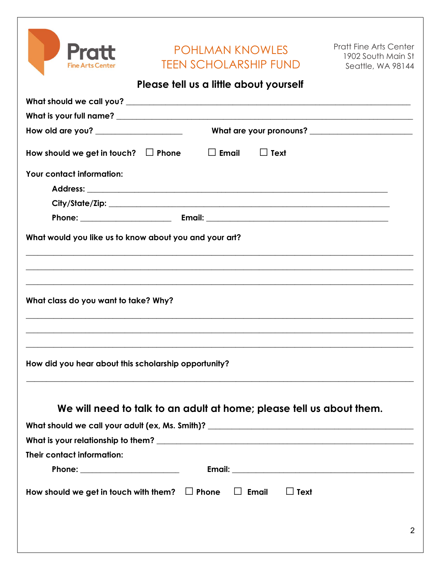| <b>Pratt</b>                                                                                                                                                                                                              | <b>POHLMAN KNOWLES</b>                                               | <b>Pratt Fine Arts Center</b>           |
|---------------------------------------------------------------------------------------------------------------------------------------------------------------------------------------------------------------------------|----------------------------------------------------------------------|-----------------------------------------|
| <b>Fine Arts Center</b>                                                                                                                                                                                                   | <b>TEEN SCHOLARSHIP FUND</b>                                         | 1902 South Main St<br>Seattle, WA 98144 |
|                                                                                                                                                                                                                           | Please fell us a little about yourself                               |                                         |
|                                                                                                                                                                                                                           |                                                                      |                                         |
|                                                                                                                                                                                                                           |                                                                      |                                         |
| How old are you? ____________________                                                                                                                                                                                     |                                                                      |                                         |
| How should we get in touch? $\Box$ Phone                                                                                                                                                                                  | $\Box$ Email<br>$\Box$ Text                                          |                                         |
| Your contact information:                                                                                                                                                                                                 |                                                                      |                                         |
|                                                                                                                                                                                                                           |                                                                      |                                         |
|                                                                                                                                                                                                                           |                                                                      |                                         |
|                                                                                                                                                                                                                           |                                                                      |                                         |
|                                                                                                                                                                                                                           |                                                                      |                                         |
|                                                                                                                                                                                                                           |                                                                      |                                         |
|                                                                                                                                                                                                                           | We will need to talk to an adult at home; please tell us about them. |                                         |
|                                                                                                                                                                                                                           |                                                                      |                                         |
|                                                                                                                                                                                                                           |                                                                      |                                         |
| What would you like us to know about you and your art?<br>What class do you want to take? Why?<br>How did you hear about this scholarship opportunity?<br>Their contact information:<br>Phone: __________________________ |                                                                      |                                         |